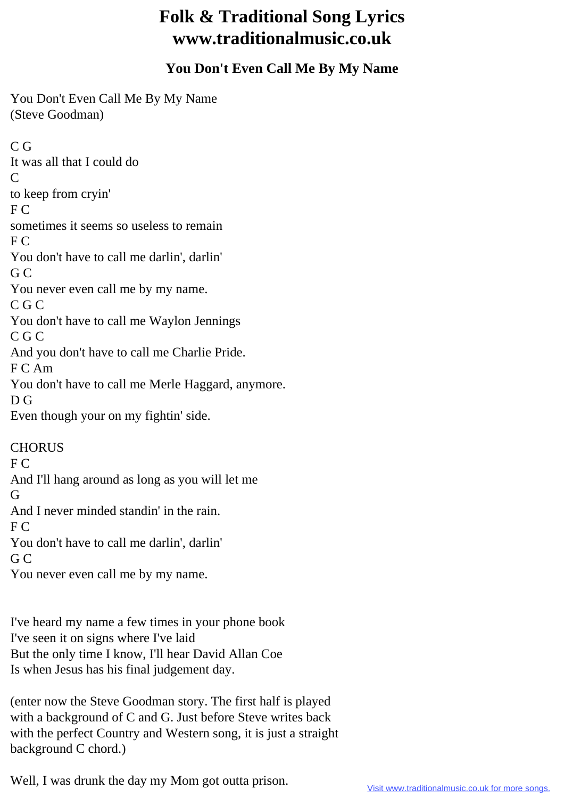## **Folk & Traditional Song Lyrics www.traditionalmusic.co.uk**

## **You Don't Even Call Me By My Name**

You Don't Even Call Me By My Name (Steve Goodman)

C G It was all that I could do  $\mathcal{C}$ to keep from cryin' F C sometimes it seems so useless to remain F C You don't have to call me darlin', darlin' G C You never even call me by my name. C G C You don't have to call me Waylon Jennings C G C And you don't have to call me Charlie Pride. F C Am You don't have to call me Merle Haggard, anymore. D G Even though your on my fightin' side. **CHORUS** F C And I'll hang around as long as you will let me G And I never minded standin' in the rain.  $FC$ You don't have to call me darlin', darlin' G C

You never even call me by my name.

I've heard my name a few times in your phone book I've seen it on signs where I've laid But the only time I know, I'll hear David Allan Coe Is when Jesus has his final judgement day.

(enter now the Steve Goodman story. The first half is played with a background of C and G. Just before Steve writes back with the perfect Country and Western song, it is just a straight background C chord.)

Well, I was drunk the day my Mom got outta prison.